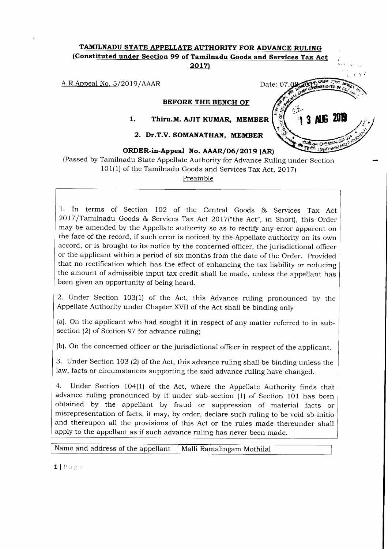# TAMILNADU STATE APPELLATE AUTHORITY FOR ADVANCE RULING {Constituted under Section 99 of Tamilnadu Goods and Services Tax Act 2017)

A.R.Appeal No. 5/2019/AAAR Date: 07.08

BEFORE THE BENCH OF

 $\frac{1}{2}$ 

3 NK 200

#### Thiru.M. AJIT KUMAR, MEMBER 1.

# Dr.T.V. SOMANATHAN, MEMBER 2.

# ORDER-in-Appeal No. AAAR/06/2019 (AR)

(Passed by Tamilnadu State Appellate Authority for Advance Ruling under Section  $101(1)$  of the Tamilnadu Goods and Services Tax Act, 2017)

Preamble

1. In terms of Section IO2 of the Central Goods & Services Tax Act <sup>2017</sup>/Tamilnadu Goods & Services Tax Act 2Ol7("the Act", in Short), this Order may be amended by the Appellate authority so as to rectify any error apparent on the face of the record, if such error is noticed by the Appellate authority on its own accord, or is brought to its notice by the concerned officer, the jurisdictional officer or the applicant within a period of six months from the date of the Order. Provided that no rectification which has the effect of enhancing the tax liability or reducing the amount of admissible input tax credit shall be made, unless the appellant has been given an opportunity of being heard.

2. Under Section 103(1) of the Act, this Advance ruling pronounced by the Appellate Authority under chapter XVII of the Act shall be binding only

(a). On the applicant who had sought it in respect of any matter referred to in subsection (2) of Section 97 for advance ruling;

(b). On the concerned officer or the jurisdictional officer in respect of the applicant.

3. Under Section 103 (2) of the Act, this advance ruling shall be binding unless the law, facts or circumstances supporting the said advance ruling have changed.

4. Under Section 104(1) of the Act, where the Appellate Authority finds that advance ruling pronounced by it under sub-section (1) of Section 101 has been obtained by the appellant by fraud or suppression of material facts or misrepresentation of facts, it may, by order, declare such mling to be void sb-initio and thereupon all the provisions of this Act or the rules made thereunder shall apply to the appellant as if such advance ruling has never been made.

Name and address of the appellant | Malli Ramalingam Mothilal

1 | Page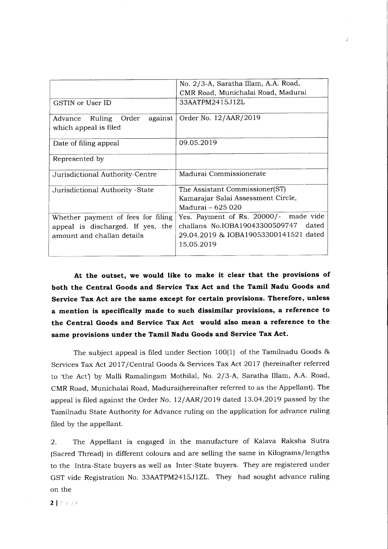|                                                                                                       | No. 2/3-A, Saratha Illam, A.A. Road,<br>CMR Road, Munichalai Road, Madurai                                                           |
|-------------------------------------------------------------------------------------------------------|--------------------------------------------------------------------------------------------------------------------------------------|
| GSTIN or User ID                                                                                      | 33AATPM2415J1ZL                                                                                                                      |
| Ruling Order<br>against<br>Advance<br>which appeal is filed                                           | Order No. 12/AAR/2019                                                                                                                |
| Date of filing appeal                                                                                 | 09.05.2019                                                                                                                           |
| Represented by                                                                                        |                                                                                                                                      |
| Jurisdictional Authority-Centre                                                                       | Madurai Commissionerate                                                                                                              |
| Jurisdictional Authority -State                                                                       | The Assistant Commissioner(ST)<br>Kamarajar Salai Assessment Circle,<br>Madurai - 625 020                                            |
| Whether payment of fees for filing<br>appeal is discharged. If yes, the<br>amount and challan details | Yes. Payment of Rs. 20000/- made vide<br>challans No.IOBA19043300509747 dated<br>29.04.2019 & IOBA19053300141521 dated<br>15.05.2019 |

At the outset, we would like to make it clear that the provisions of both the Central Goods and Service Tax Act and the Tamil Nadu Goods and Service Tax Act are the same except for certain provisions. Therefore, unless a mention is specifically made to such dissimilar provisions, a reference to the Central Goods and Service Tax Act would also mean a reference to the same provisions under the Tamil Nadu Goods and Service Tax Act.

The subject appeal is filed under Section 100(1) of the Tamilnadu Goods & Services Tax Act 2OI7 /Central Goods & Services Tax Act 2OI7 (hereinafter referred to the Act') by Malli Ramalingam Mothilal, No. 2/3-A, Saratha Illam, A.A. Road, CMR Road, Munichalai Road, Madurai(hereinafter referred to as the Appellant). The appeal is filed against the Order No. 12/AAR/2O 19 dated I3.O4.2OI9 passed by the Tamilnadu State Authority for Advance ruling on the application for advance ruling filed by the appellant.

2. The Appellant is engaged in the manufacture of Kalava Raksha Sutra (Sacred Thread) in different colours and are selling the same in Kilograms/lengths to the Intra-State buyers as well as Inter-State buyers. They are registered under GST vide Registration No. 33AATPM24I5JlZL. They had sought advance ruling on the

 $2 |$  Page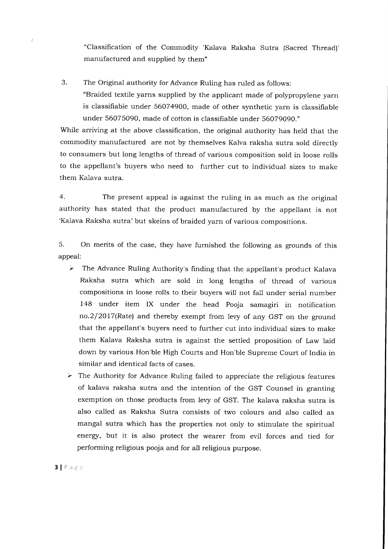"Classification of the Commodity 'Kalava Raksha Sutra (Sacred Thread)' manufactured and supplied by them"

3. The Original authority for Advance Ruling has ruled as follows: "Braided textile yarns supplied by the applicant made of polypropylene yarn is classifiable under 56074900, made of other synthetic yarn is classifiable under 56075090, made of cotton is classifiable under 560T9090."

While arriving at the above classification, the original authority has held that the commodity manufactured are not by themselves Kalva raksha sutra sold directly to consumers but long lengths of thread of various composition sold in loose rolls to the appellant's buyers who need to further cut to individual sizes to make them Kalava sutra.

4. The present appeal is against the ruling in as much as the original authority has stated that the product manufactured by the appellant is not 'Kalava Raksha sutra'but skeins of braided yarn of various compositions.

5. On merits of the case, they have fumished the following as grounds of this appeal:

- $\triangleright$  The Advance Ruling Authority's finding that the appellant's product Kalava Raksha sutra which are sold in long lengths of thread of various compositions in loose rolls to their buyers will not fall under serial number I4B under item IX under the head Pooja samagiri in notification no.2/2o17(Rate) and thereby exempt from levy of any GST on the ground that the appellant's buyers need to further cut into individual sizes to make them Kalava Raksha sutra is against the settled proposition of Law laid down by various Hon'ble High Courts and Hon'ble Supreme Court of India in similar and identical facts of cases.
- $\triangleright$  The Authority for Advance Ruling failed to appreciate the religious features of kalava raksha sutra and the intention of the GST Counsel in granting exemption on those products from levy of GST. The kalava raksha sutra is also called as Raksha Sutra consists of two colours and also called as mangal sutra which has the properties not only to stimulate the spiritual energy, but it is also protect the wearer from evil forces and tied for performing religious pooja and for all religious purpose.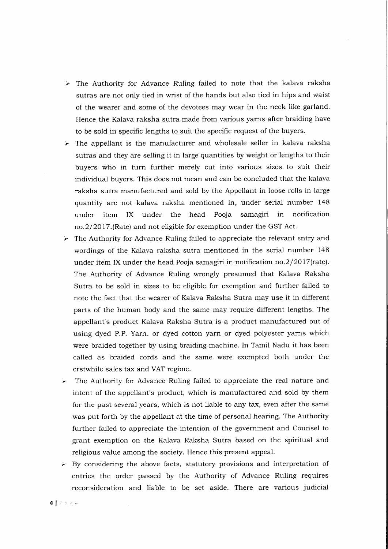- $\triangleright$  The Authority for Advance Ruling failed to note that the kalava raksha sutras are not only tied in wrist of the hands but also tied in hips and waist of the wearer and some of the devotees may wear in the neck like garland. Hence the Kalava raksha sutra made from various yarns after braiding have to be sold in specific lengths to suit the specific request of the buyers.
- $\triangleright$  The appellant is the manufacturer and wholesale seller in kalava raksha sutras and they are selling it in large quantities by weight or lengths to their buyers who in turn further merely cut into various sizes to suit their individual buyers. This does not mean and can be concluded that the kalava raksha sutra manufactured and sold by the Appellant in loose rolls in large quantity are not kalava raksha mentioned in, under serial number <sup>148</sup> under item IX under the head Pooja samagiri in notification no.2/2O17.(Rate) and not eligible for exemption under the GST Act.
- $\geq$  The Authority for Advance Ruling failed to appreciate the relevant entry and wordings of the Kalava raksha sutra mentioned in the serial number <sup>148</sup> under item IX under the head Pooja samagiri in notification no.2/20l7(rate). The Authority of Advance Ruling wrongly presumed that Kalava Raksha Sutra to be sold in sizes to be eligible for exemption and further failed to note the fact that the wearer of Kalava Raksha Sutra may use it in different parts of the human body and the same may require different lengths. The appellant's product Kalava Raksha Sutra is a product manufactured out of using dyed P.P. Yarn. or dyed cotton yarn or dyed polyester yarns which were braided together by using braiding machine. In Tamil Nadu it has been called as braided cords and the same were exempted both under the erstwhile sales tax and VAT regime.
- $\geq$  The Authority for Advance Ruling failed to appreciate the real nature and intent of the appellant's product, which is manufactured and sold by them for the past several years, which is not liable to any tax, even after the same was put forth by the appellant at the time of personal hearing. The Authority further failed to appreciate the intention of the government and Counsel to grant exemption on the Kalava Raksha Sutra based on the spiritual and religious value among the society. Hence this present appeal.
- $\triangleright$  By considering the above facts, statutory provisions and interpretation of entries the order passed by the Authority of Advance Ruling requires reconsideration and liable to be set aside. There are various iudicial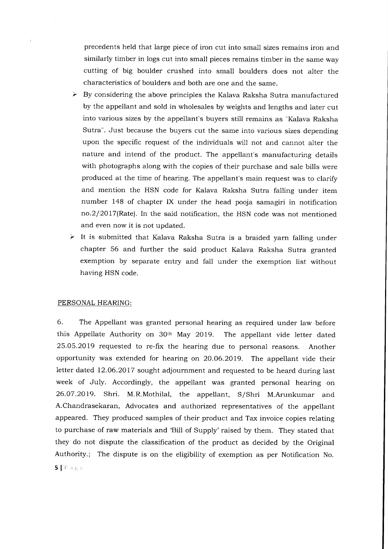precedents held that large piece of iron cut into small sizes remains iron and similarly timber in logs cut into small pieces remains timber in the same way. cutting of big boulder crushed into small boulders does not alter the characteristics of boulders and both are one and the same.

- $\triangleright$  By considering the above principles the Kalava Raksha Sutra manufactured by the appellant and sold in wholesales by weights and lengths and later cut into various sizes by the appellant's buyers still remains as "Kalava Raksha Sutra". Just because the buyers cut the same into various sizes depending upon the specific request of the individuals will not and cannot alter the nature and intend of the product. The appellant's manufacturing details with photographs along with the copies of their purchase and sale bills were produced at the time of hearing. The appellant's main request was to clarify and mention the HSN code for Kalava Raksha Sutra falling under item number 148 of chapter IX under the head pooja samagiri in notification no.2/2o17(Rate). In the said notification, the HSN code was not mentioned and even now it is not updated.
- $\triangleright$  It is submitted that Kalava Raksha Sutra is a braided yarn falling under chapter 56 and further the said product Kalava Raksha Sutra granted exemption by separate entry and fall under the exemption list without having HSN code.

## PERSONAL HEARING:

6. The Appellant was granted personal hearing as required under law before this Appellate Authority on 30th May 2019. The appellant vide letter dated 25.05.2019 requested to re-fix the hearing due to personal reasons. Another opportunity was extended for hearing on 20.06.2019. The appellant vide their letter dated 12.06.2017 sought adjournment and requested to be heard during last week of July. Accordingly, the appellant was granted personal hearing on 26.O7.2O19. Shri. M.R.Mothilal, the appellant, S/Shri M.Arunkumar and A.Chandrasekaran, Advocates and authorized representatives of the appellant appeared. They produced samples of their product and Tax invoice copies relating to purchase of raw materials and 'Bill of Supply' raised by them. They stated that they do not dispute the classification of the product as decided by the Original Authority.; The dispute is on the eligibility of exemption as per Notification No.  $5|P \land g \in$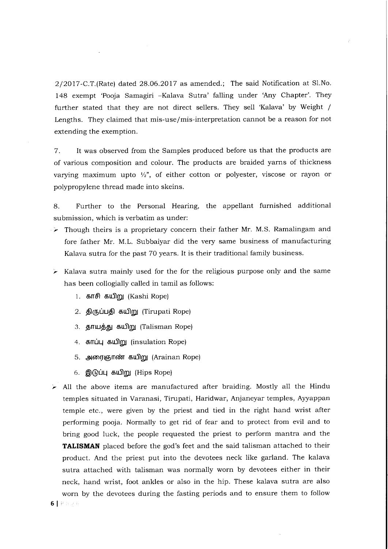2/2017-C.T.(Rate) dated 28.06.2O17 as amended.; The said Notification at 51.No. 148 exempt 'Pooja Samagiri -Kalava Sutra' falling under 'Any Chapter'. They further stated that they are not direct sellers. They sell 'Kalava' by Weight / Lengths. They claimed that mis-use/mis-interpretation cannot be a reason for not extending the exemption.

7. It was observed from the Samples produced before us that the products are of various composition and colour. The products are braided yarns of thickness varying maximum upto  $\frac{1}{2}$ , of either cotton or polyester, viscose or rayon or polypropylene thread made into skeins.

B. Further to the Personal Hearing, the appellant furnished additional submission, which is verbatim as under:

- $\ge$  Though theirs is a proprietary concern their father Mr. M.S. Ramalingam and fore father Mr. M.L. Subbaiyar did the very same business of manufacturing Kalava sutra for the past 70 years. It is their traditional family business.
- $\geq$  Kalava sutra mainly used for the for the religious purpose only and the same has been collogially called in tamil as follows:
	- 1. காசி கயிறு (Kashi Rope)
	- 2. திருப்பதி கயிறு (Tirupati Rope)
	- 3. தாயத்து கயிறு (Talisman Rope)
	- 4. காப்பு கயிறு (insulation Rope)
	- 5. அரைஞாண் கயிறு (Arainan Rope)
	- 6. இடுப்பு கயிறு (Hips Rope)
- $\blacktriangleright$  All the above items are manufactured after braiding. Mostly all the Hindu temples situated in Varanasi, Tirupati, Haridwar, Anjaneyar temples, Ayyappan temple etc., were given by the priest and tied in the right hand wrist after performing pooja. Normally to get rid of fear and to protect from evil and to bring good luck, the people requested the priest to perform mantra and the TALISMAN placed before the god's feet and the said talisman attached to their product. And the priest put into the devotees neck like garland. The kalava sutra attached with talisman was normally worn by devotees either in their neck, hand wrist, foot ankles or also in the hip. These kalava sutra are also worn by the devotees during the fasting periods and to ensure them to follow 6 | Pauge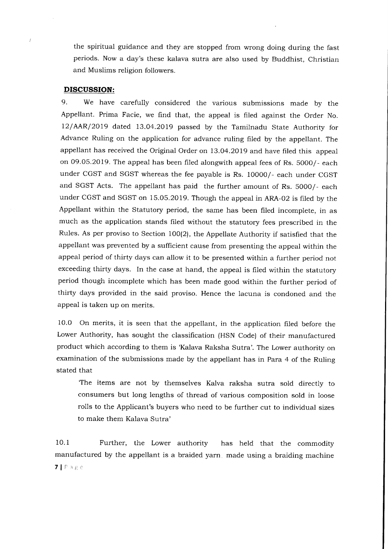the spiritual guidance and they are stopped from wrong doing during the fast periods. Now a day's these kalava sutra are also used by Buddhist, Christian and Muslims religion followers.

### DISCUSSION:

9. We have carefully considered the various submissions made by the Appellant. Prima Facie, we find that, the appeal is filed against the Order No. I2/AAR/2019 dated I3.O4.2O19 passed by the Tamilnadu State Authority for Advance Ruling on the application for advance ruling filed by the appellant. The appellant has received the Original Order on 73.O4.2019 and have filed this appeal on 09.05.2019. The appeal has been filed alongwith appeal fees of Rs. 50OO/- each under CGST and SGST whereas the fee payable is Rs. 10000/- each under CGST and SGST Acts. The appellant has paid the further amount of Rs. 5000/- each under CGST and SGST on 15.05.2019. Though the appeal in ARA-02 is filed by the Appellant within the Statutory period, the same has been filed incomplete, in as much as the application stands filed without the statutory fees prescribed in the Rules. As per proviso to Section 100(2), the Appellate Authority if satisfied that the appellant was prevented by a sufficient cause from presenting the appeal within the appeal period of thirty days can allow it to be presented within a further period not exceeding thirty days. In the case at hand, the appeal is filed within the statutory period though incomplete which has been made good within the further period of thirty days provided in the said proviso. Hence the lacuna is condoned and the appeal is taken up on merits.

10.0 On merits, it is seen that the appellant, in the application filed before the Lower Authority, has sought the classification (HSN Code) of their manufactured product which according to them is 'Kalava Raksha Sutra'. The Lower authority on examination of the submissions made by the appellant has in Para 4 of the Ruling stated that

The items are not by themselves Kalva raksha sutra sold directly to consumers but long lengths of thread of various composition sold in loose rolls to the Applicant's buyers who need to be further cut to individual sizes to make them Kalava Sutra'

10.1 Further, the Lower authority has held that the commodity manufactured by the appellant is a braided yarn made using a braiding machine  $71P$ age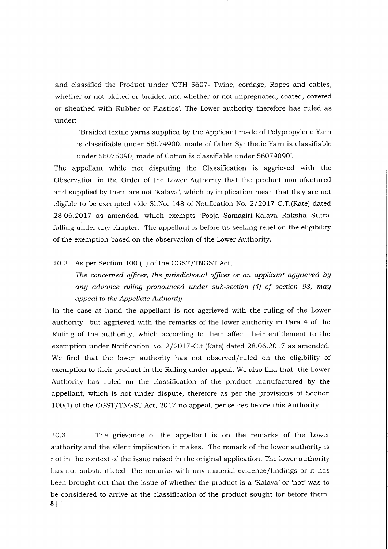and classified the Product under 'CTH 5607- Twine, cordage, Ropes and cables, whether or not plaited or braided and whether or not impregnated, coated, covered or sheathed with Rubber or Plastics'. The Lower authority therefore has ruled as under:

'Braided textile yarns supplied by the Applicant made of Polypropylene Yarn is classifiable under 560749OO, made of Other Synthetic Yarn is classifiable under 56075090, made of Cotton is classifiable under 56079090'.

The appellant while not disputing the Classification is aggrieved with the Observation in the Order of the Lower Authority that the product manufactured and supplied by them are not 'Kalava', which by implication mean that they are not eligible to be exempted vide Sl.No. 148 of Notification No.2/2O17-C.T.(Rate) dated 28.06.2017 as amended, which exempts 'Pooja Samagiri-Kalava Raksha Sutra' falling under any chapter. The appellant is before us seeking relief on the eligibility of the exemption based on the observation of the Lower Authority.

## IO.2 As per Section 100 (1) of the CGST/TNGST Act,

The concerned officer, the jurisdictional officer or an applicant aggrieved by any advance ruling pronounced under sub-section  $(4)$  of section 98, may appeal to the Appellate Authoritg

In the case at hand the appellant is not aggrieved with the ruling of the Lower authority but aggrieved with the remarks of the lower authority in Para 4 of the Ruling of the authority, which according to them affect their entitlement to the exemption under Notification No. 2/2017-C.t.(Rate) dated 28.06.2017 as amended. We find that the lower authority has not observed/ruled on the eligibility of exemption to their product in the Ruling under appeal. We also find that the Lower Authority has ruled on the classification of the product manufactured by the appellant, which is not under dispute, therefore as per the provisions of Section 100(1) of the CGST/TNGST Act, 2017 no appeal, per se lies before this Authority.

10.3 The grievance of the appellant is on the remarks of the Lower authority and the silent implication it makes. The remark of the lower authority is not in the context of the issue raised in the original application. The lower authority has not substantiated the remarks with any material evidence/findings or it has been brought out that the issue of whether the product is a 'Kalava' or 'not' was to be considered to arrive at the classification of the product sought for before them. 8 | Page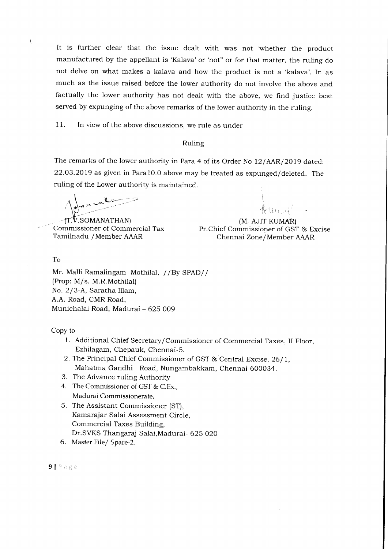It is further clear that the issue dealt with was not 'whether the product manufactured by the appellant is 'Kalava'or 'not" or for that matter, the ruling do not delve on what makes a kalava and how the product is not a 'kalava'. In as much as the issue raised before the lower authority do not involve the above and factually the lower authority has not dealt with the above, we find justice best served by expunging of the above remarks of the lower authority in the ruling.

11. In view of the above discussions, we rule as under

#### Ruling

The remarks of the lower authority in Para 4 of its Order No 12/AAR/2019 dated: 22.O3.2019 as given in Para10.O above may be treated as expunged/deleted. The ruling of the Lower authority is maintained.

 $\sqrt{2}$  $\sqrt{\frac{1}{2}mn\cdot x^{k}}$ 

ft.V.SOMANATHAN) Commissioner of Commercial Tax Tamilnadu /Member AAAR

i J  $\mathcal{K}^{\ell\mathfrak{t}\mathfrak{t}\mathfrak{t}\mathfrak{t}\mathfrak{t}\mathfrak{t}\mathfrak{t}}$ 

(M. AJIT KUMAR) Pr.Chief Commissioner of GST & Excise Chennai Zone/Member AAAR

To

Mr. Malli Ramalingam Mothilal, / /By SPAD// (Prop: M/s. M.R.Mothilal) No. 2/3-A, Saratha Illam, A.A. Road, CMR Road, Munichalai Road, Madurai - 625 OO9

Copy to

- 1. Additional Chief Secretary/Commissioner of Commercial Taxes, II Floor, Ezhllagam, Chepauk, Chennai-S.
- 2. The Principal Chief Commissioner of GST & Central Excise, 26/1, Mahatma Gandhi Road, Nungambakkam, Chennai-600034.
- 3. The Advance ruling Authority
- 4. The Commissioner of GST & C.Ex.. Madurai Commissionerate,
- 5. The Assistant Commissioner (ST), Kamarajar Salai Assessment Circle, Commercial Taxes Building, Dr.SVKS Thangaraj Salai, Madurai- 625 020
- 6. Master File/ Spare-2.

9 | Page